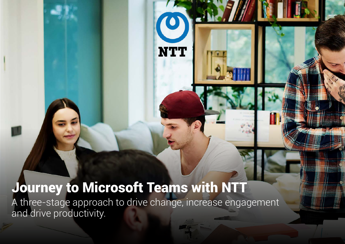# Journey to Microsoft Teams with NTT

A three-stage approach to drive change, increase engagement and drive productivity.

**NTT**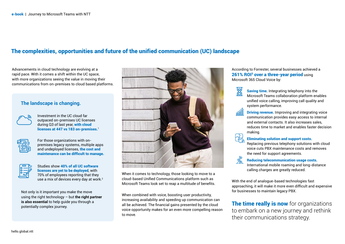# The complexities, opportunities and future of the unified communication (UC) landscape

Advancements in cloud technology are evolving at a rapid pace. With it comes a shift within the UC space, with more organizations seeing the value in moving their communications from on-premises to cloud based platforms.

#### **The landscape is changing.**



Investment in the UC cloud far outpaced on-premises UC licenses during Q3 of last year, with cloud licenses at 447 vs 183 on-premises. $^{\rm I}$ 



For those organizations with onpremises legacy systems, multiple apps and undeployed licenses, the cost and maintenance can be difficult to manage.



Studies show 40% of all UC software licenses are yet to be deployed, with 70% of employees reporting that they use a mix of devices every day at work.<sup>2</sup>

Not only is it important you make the move using the right technology – but **the right partner is also essential** to help guide you through a potentially complex journey.



When it comes to technology, those looking to move to a cloud-based Unified Communications platform such as Microsoft Teams look set to reap a multitude of benefits.

When combined with voice, boosting user productivity, increasing availability and speeding up communication can all be achieved. The financial gains presented by the cloud voice opportunity makes for an even more compelling reason to move.

According to Forrester, several businesses achieved a 261% ROI<sup>3</sup> over a three-year period using Microsoft 365 Cloud Voice by:



Saving time. Integrating telephony into the Microsoft Teams collaboration platform enables unified voice calling, improving call quality and system performance.

**Driving revenue.** Improving and integrating voice communication provides easy access to internal and external contacts. It also increases sales, reduces time to market and enables faster decision making.



#### Eliminating solution and support costs.

Replacing previous telephony solutions with cloud voice cuts PBX maintenance costs and removes the need for support agreements.

Reducing telecommunication usage costs.

International mobile roaming and long-distance calling charges are greatly reduced.

With the end of analogue-based technologies fast approaching, it will make it more even difficult and expensive for businesses to maintain legacy PBX.

The time really is now for organizations to embark on a new journey and rethink their communications strategy.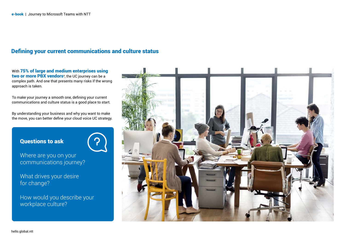# Defining your current communications and culture status

With 75% of large and medium enterprises using **two or more PBX vendors**4, the UC journey can be a complex path. And one that presents many risks if the wrong approach is taken.

To make your journey a smooth one, defining your current communications and culture status is a good place to start.

By understanding your business and why you want to make the move, you can better define your cloud voice UC strategy.

## Questions to ask



Where are you on your communications journey?

What drives your desire for change?

How would you describe your workplace culture?

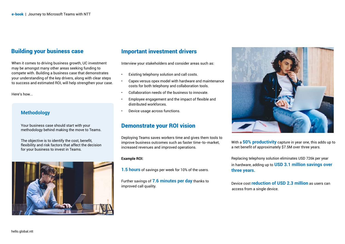#### Building your business case

When it comes to driving business growth, UC investment may be amongst many other areas seeking funding to compete with. Building a business case that demonstrates your understanding of the key drivers, along with clear steps to success and estimated ROI, will help strengthen your case.

Here's how...

#### **Methodology**

Your business case should start with your methodology behind making the move to Teams.

The objective is to identify the cost, benefit, flexibility and risk factors that affect the decision for your business to invest in Teams.



# Important investment drivers

Interview your stakeholders and consider areas such as:

- Existing telephony solution and call costs.
- Capex versus opex model with hardware and maintenance costs for both telephony and collaboration tools.
- Collaboration needs of the business to innovate.
- Employee engagement and the impact of flexible and distributed workforces.
- Device usage across functions.

#### Demonstrate your ROI vision

Deploying Teams saves workers time and gives them tools to improve business outcomes such as faster time-to-market, increased revenues and improved operations.

#### **Example ROI:**

**1.5 hours** of savings per week for 10% of the users.

Further savings of **7.6 minutes per day** thanks to improved call quality.



With a **50% productivity** capture in year one, this adds up to a net benefit of approximately \$7.5M over three years.

Replacing telephony solution eliminates USD 726k per year in hardware, adding up to **USD 3.1 million savings over three years.**

Device cost **reduction of USD 2.3 million** as users can access from a single device.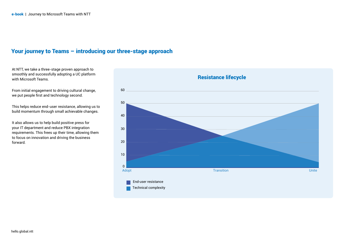## Your journey to Teams – introducing our three-stage approach

At NTT, we take a three-stage proven approach to smoothly and successfully adopting a UC platform

From initial engagement to driving cultural change, we put people first and technology second.

This helps reduce end-user resistance, allowing us to build momentum through small achievable changes.

It also allows us to help build positive press for your IT department and reduce PBX integration requirements. This frees up their time, allowing them to focus on innovation and driving the business forward.

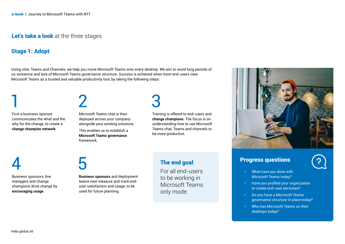#### Let's take a look at the three stages

#### Stage 1: Adopt

Using chat, Teams and Channels, we help you move Microsoft Teams onto every desktop. We aim to avoid long periods of co-existence and lack of Microsoft Teams governance structure. Success is achieved when most end-users view Microsoft Teams as a trusted and valuable productivity tool, by taking the following steps:

1 First a business sponsor communicates the what and the why for the change, to create a **change champion network**.

Microsoft Teams chat is then deployed across your company alongside your existing solutions.

This enables us to establish a **Microsoft Teams governance**  framework.

3

Training is offered to end-users and **change champions**. The focus is on understanding how to use Microsoft Teams chat, Teams and channels to be more productive.

4 Business sponsors, line managers and change

**encouraging usage**.

champions drive change by

5

2

**Business sponsors** and deployment teams next measure and track enduser satisfaction and usage, to be used for future planning.

#### The end goal

For all end-users to be working in Microsoft Teams only mode.



# Progress questions

- 
- What have you done with Microsoft Teams today?
- Have you profiled your organization to create end-user personas?
- Do you have a Microsoft Teams governance structure in place today?
- Who has Microsoft Teams on their desktops today?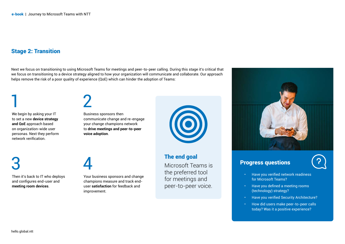# Stage 2: Transition

Next we focus on transitioning to using Microsoft Teams for meetings and peer-to-peer calling. During this stage it's critical that we focus on transitioning to a device strategy aligned to how your organization will communicate and collaborate. Our approach helps remove the risk of a poor quality of experience (QoE) which can hinder the adoption of Teams:

We begin by asking your IT to set a new **device strategy and QoE** approach based on organization-wide user personas. Next they perform network verification.

2

Business sponsors then communicate change and re-engage your change champions network to **drive meetings and peer-to-peer voice adoption**.

3

1

Then it's back to IT who deploys and configures end-user and **meeting room devices**.

4

Your business sponsors and change champions measure and track enduser **satisfaction** for feedback and improvement.



# The end goal

Microsoft Teams is the preferred tool for meetings and peer-to-peer voice.



### Progress questions

- 
- Have you verified network readiness for Microsoft Teams?
- Have you defined a meeting rooms (technology) strategy?
- Have you verified Security Architecture?
- How did users make peer-to-peer calls today? Was it a positive experience?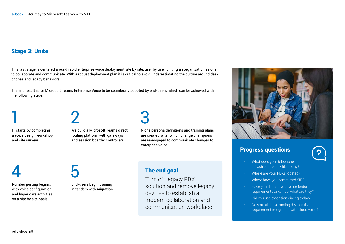# Stage 3: Unite

This last stage is centered around rapid enterprise voice deployment site by site, user by user, uniting an organization as one to collaborate and communicate. With a robust deployment plan it is critical to avoid underestimating the culture around desk phones and legacy behaviors.

The end result is for Microsoft Teams Enterprise Voice to be seamlessly adopted by end-users, which can be achieved with the following steps:

IT starts by completing a **voice design workshop**  and site surveys.

2

We build a Microsoft Teams **direct routing** platform with gateways and session boarder controllers.

3

Niche persona definitions and **training plans**  are created, after which change champions are re-engaged to communicate changes to enterprise voice.

# 4

1

**Number porting** begins, with voice configuration and hyper care activities on a site by site basis.

# 5

End-users begin training in tandem with **migration**

# The end goal

Turn off legacy PBX solution and remove legacy devices to establish a modern collaboration and communication workplace.



# Progress questions

- What does your telephone infrastructure look like today?
- Where are your PBXs located?
- Where have you centralized SIP?
- Have you defined your voice feature requirements and, if so, what are they?
- Did you use extension dialing today?
- Do you still have analog devices that requirement integration with cloud voice?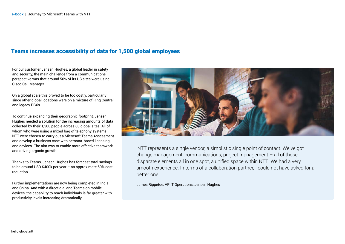## Teams increases accessibility of data for 1,500 global employees

For our customer Jensen Hughes, a global leader in safety and security, the main challenge from a communications perspective was that around 50% of its US sites were using Cisco Call Manager.

On a global scale this proved to be too costly, particularly since other global locations were on a mixture of Ring Central and legacy PBXs.

To continue expanding their geographic footprint, Jensen Hughes needed a solution for the increasing amounts of data collected by their 1,500 people across 80 global sites. All of whom who were using a mixed bag of telephony systems. NTT were chosen to carry out a Microsoft Teams Assessment and develop a business case with persona-based licensing and devices. The aim was to enable more effective teamwork and driving organic growth.

Thanks to Teams, Jensen Hughes has forecast total savings to be around USD \$400k per year – an approximate 50% cost reduction.

Further implementations are now being completed in India and China. And with a direct dial and Teams on mobile devices, the capability to reach individuals is far greater with productivity levels increasing dramatically.



'NTT represents a single vendor, a simplistic single point of contact. We've got change management, communications, project management – all of those disparate elements all in one spot, a unified space within NTT. We had a very smooth experience. In terms of a collaboration partner, I could not have asked for a better one.'

James Rippetoe, VP IT Operations, Jensen Hughes